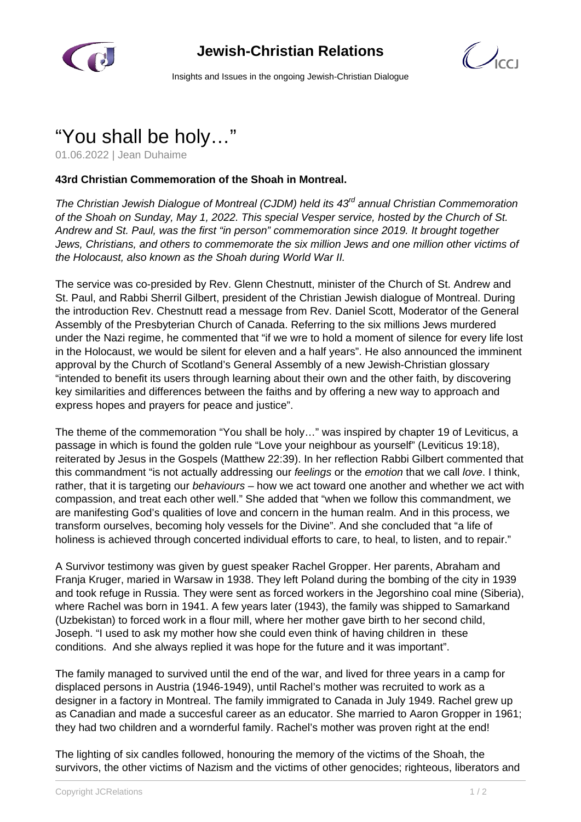

## **Jewish-Christian Relations**

 $\mathcal{C}$ 

Insights and Issues in the ongoing Jewish-Christian Dialogue

## "You shall be holy…"

01.06.2022 | Jean Duhaime

## **43rd Christian Commemoration of the Shoah in Montreal.**

The Christian Jewish Dialogue of Montreal (CJDM) held its 43<sup>rd</sup> annual Christian Commemoration of the Shoah on Sunday, May 1, 2022. This special Vesper service, hosted by the Church of St. Andrew and St. Paul, was the first "in person" commemoration since 2019. It brought together Jews, Christians, and others to commemorate the six million Jews and one million other victims of the Holocaust, also known as the Shoah during World War II.

The service was co-presided by Rev. Glenn Chestnutt, minister of the Church of St. Andrew and St. Paul, and Rabbi Sherril Gilbert, president of the Christian Jewish dialogue of Montreal. During the introduction Rev. Chestnutt read a message from Rev. Daniel Scott, Moderator of the General Assembly of the Presbyterian Church of Canada. Referring to the six millions Jews murdered under the Nazi regime, he commented that "if we wre to hold a moment of silence for every life lost in the Holocaust, we would be silent for eleven and a half years". He also announced the imminent approval by the Church of Scotland's General Assembly of a new Jewish-Christian glossary "intended to benefit its users through learning about their own and the other faith, by discovering key similarities and differences between the faiths and by offering a new way to approach and express hopes and prayers for peace and justice".

The theme of the commemoration "You shall be holy…" was inspired by chapter 19 of Leviticus, a passage in which is found the golden rule "Love your neighbour as yourself" (Leviticus 19:18), reiterated by Jesus in the Gospels (Matthew 22:39). In her reflection Rabbi Gilbert commented that this commandment "is not actually addressing our *feelings* or the *emotion* that we call *love*. I think, rather, that it is targeting our behaviours – how we act toward one another and whether we act with compassion, and treat each other well." She added that "when we follow this commandment, we are manifesting God's qualities of love and concern in the human realm. And in this process, we transform ourselves, becoming holy vessels for the Divine". And she concluded that "a life of holiness is achieved through concerted individual efforts to care, to heal, to listen, and to repair."

A Survivor testimony was given by guest speaker Rachel Gropper. Her parents, Abraham and Franja Kruger, maried in Warsaw in 1938. They left Poland during the bombing of the city in 1939 and took refuge in Russia. They were sent as forced workers in the Jegorshino coal mine (Siberia), where Rachel was born in 1941. A few years later (1943), the family was shipped to Samarkand (Uzbekistan) to forced work in a flour mill, where her mother gave birth to her second child, Joseph. "I used to ask my mother how she could even think of having children in these conditions. And she always replied it was hope for the future and it was important".

The family managed to survived until the end of the war, and lived for three years in a camp for displaced persons in Austria (1946-1949), until Rachel's mother was recruited to work as a designer in a factory in Montreal. The family immigrated to Canada in July 1949. Rachel grew up as Canadian and made a succesful career as an educator. She married to Aaron Gropper in 1961; they had two children and a wornderful family. Rachel's mother was proven right at the end!

The lighting of six candles followed, honouring the memory of the victims of the Shoah, the survivors, the other victims of Nazism and the victims of other genocides; righteous, liberators and